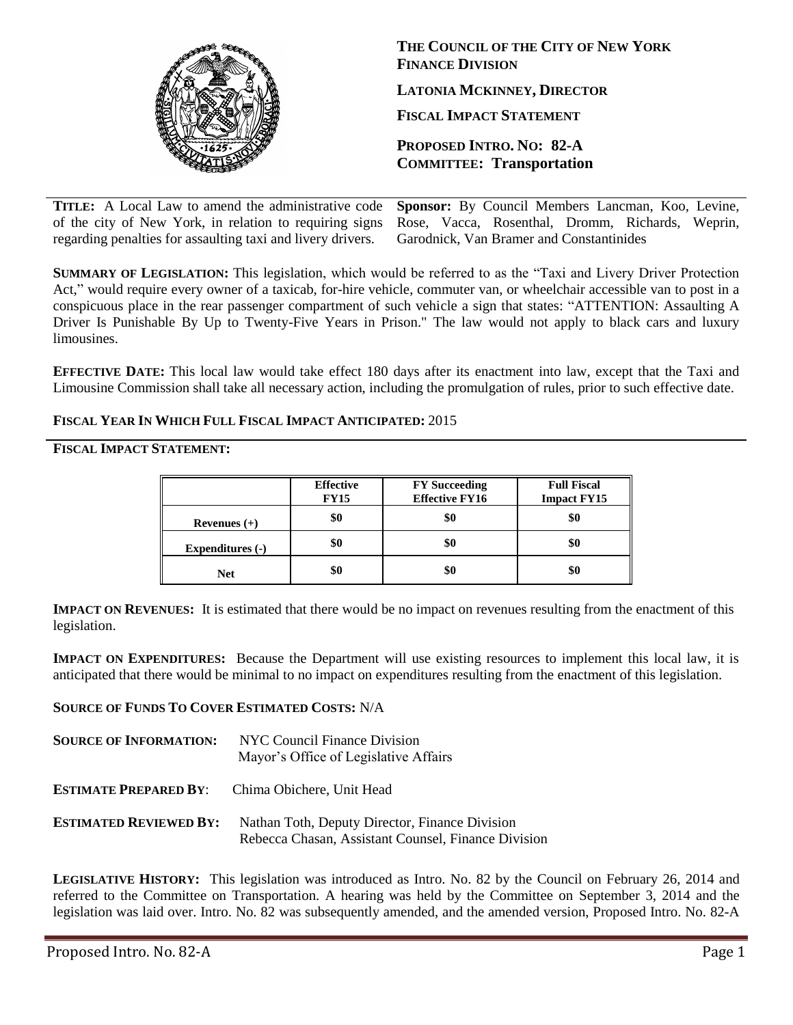

**THE COUNCIL OF THE CITY OF NEW YORK FINANCE DIVISION LATONIA MCKINNEY, DIRECTOR FISCAL IMPACT STATEMENT PROPOSED INTRO. NO: 82-A**

**COMMITTEE: Transportation**

**TITLE:** A Local Law to amend the administrative code of the city of New York, in relation to requiring signs regarding penalties for assaulting taxi and livery drivers. **Sponsor:** By Council Members Lancman, Koo, Levine, Rose, Vacca, Rosenthal, Dromm, Richards, Weprin, Garodnick, Van Bramer and Constantinides

**SUMMARY OF LEGISLATION:** This legislation, which would be referred to as the "Taxi and Livery Driver Protection Act," would require every owner of a taxicab, for-hire vehicle, commuter van, or wheelchair accessible van to post in a conspicuous place in the rear passenger compartment of such vehicle a sign that states: "ATTENTION: Assaulting A Driver Is Punishable By Up to Twenty-Five Years in Prison." The law would not apply to black cars and luxury limousines.

**EFFECTIVE DATE:** This local law would take effect 180 days after its enactment into law, except that the Taxi and Limousine Commission shall take all necessary action, including the promulgation of rules, prior to such effective date.

## **FISCAL YEAR IN WHICH FULL FISCAL IMPACT ANTICIPATED:** 2015

## **FISCAL IMPACT STATEMENT:**

|                         | <b>Effective</b><br><b>FY15</b> | <b>FY</b> Succeeding<br><b>Effective FY16</b> | <b>Full Fiscal</b><br><b>Impact FY15</b> |
|-------------------------|---------------------------------|-----------------------------------------------|------------------------------------------|
| Revenues $(+)$          | \$0                             |                                               |                                          |
| <b>Expenditures (-)</b> | \$0                             |                                               |                                          |
| <b>Net</b>              | \$0                             | \$0                                           | งเ                                       |

**IMPACT ON REVENUES:** It is estimated that there would be no impact on revenues resulting from the enactment of this legislation.

**IMPACT ON EXPENDITURES:** Because the Department will use existing resources to implement this local law, it is anticipated that there would be minimal to no impact on expenditures resulting from the enactment of this legislation.

**SOURCE OF FUNDS TO COVER ESTIMATED COSTS:** N/A

- **SOURCE OF INFORMATION:** NYC Council Finance Division Mayor's Office of Legislative Affairs
- **ESTIMATE PREPARED BY**: Chima Obichere, Unit Head
- **ESTIMATED REVIEWED BY:** Nathan Toth, Deputy Director, Finance Division Rebecca Chasan, Assistant Counsel, Finance Division

**LEGISLATIVE HISTORY:** This legislation was introduced as Intro. No. 82 by the Council on February 26, 2014 and referred to the Committee on Transportation. A hearing was held by the Committee on September 3, 2014 and the legislation was laid over. Intro. No. 82 was subsequently amended, and the amended version, Proposed Intro. No. 82-A